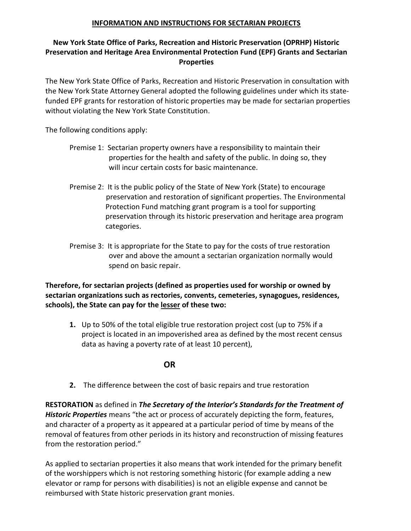## **INFORMATION AND INSTRUCTIONS FOR SECTARIAN PROJECTS**

## **New York State Office of Parks, Recreation and Historic Preservation (OPRHP) Historic Preservation and Heritage Area Environmental Protection Fund (EPF) Grants and Sectarian Properties**

The New York State Office of Parks, Recreation and Historic Preservation in consultation with the New York State Attorney General adopted the following guidelines under which its statefunded EPF grants for restoration of historic properties may be made for sectarian properties without violating the New York State Constitution.

The following conditions apply:

- Premise 1: Sectarian property owners have a responsibility to maintain their properties for the health and safety of the public. In doing so, they will incur certain costs for basic maintenance.
- Premise 2: It is the public policy of the State of New York (State) to encourage preservation and restoration of significant properties. The Environmental Protection Fund matching grant program is a tool for supporting preservation through its historic preservation and heritage area program categories.
- Premise 3: It is appropriate for the State to pay for the costs of true restoration over and above the amount a sectarian organization normally would spend on basic repair.

**Therefore, for sectarian projects (defined as properties used for worship or owned by sectarian organizations such as rectories, convents, cemeteries, synagogues, residences, schools), the State can pay for the lesser of these two:**

**1.** Up to 50% of the total eligible true restoration project cost (up to 75% if a project is located in an impoverished area as defined by the most recent census data as having a poverty rate of at least 10 percent),

**OR** 

**2.** The difference between the cost of basic repairs and true restoration

**RESTORATION** as defined in *The Secretary of the Interior's Standards for the Treatment of Historic Properties* means "the act or process of accurately depicting the form, features, and character of a property as it appeared at a particular period of time by means of the removal of features from other periods in its history and reconstruction of missing features from the restoration period."

As applied to sectarian properties it also means that work intended for the primary benefit of the worshippers which is not restoring something historic (for example adding a new elevator or ramp for persons with disabilities) is not an eligible expense and cannot be reimbursed with State historic preservation grant monies.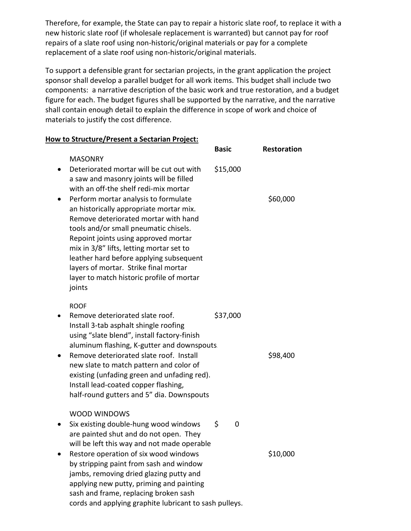Therefore, for example, the State can pay to repair a historic slate roof, to replace it with a new historic slate roof (if wholesale replacement is warranted) but cannot pay for roof repairs of a slate roof using non-historic/original materials or pay for a complete replacement of a slate roof using non-historic/original materials.

To support a defensible grant for sectarian projects, in the grant application the project sponsor shall develop a parallel budget for all work items. This budget shall include two components: a narrative description of the basic work and true restoration, and a budget figure for each. The budget figures shall be supported by the narrative, and the narrative shall contain enough detail to explain the difference in scope of work and choice of materials to justify the cost difference.

## **How to Structure/Present a Sectarian Project:**

|                                                                                                                                                                                                                                                                                                                                                                                                                                                                                                                                                   | <b>Basic</b> | <b>Restoration</b> |
|---------------------------------------------------------------------------------------------------------------------------------------------------------------------------------------------------------------------------------------------------------------------------------------------------------------------------------------------------------------------------------------------------------------------------------------------------------------------------------------------------------------------------------------------------|--------------|--------------------|
| <b>MASONRY</b><br>Deteriorated mortar will be cut out with<br>a saw and masonry joints will be filled<br>with an off-the shelf redi-mix mortar<br>Perform mortar analysis to formulate<br>an historically appropriate mortar mix.<br>Remove deteriorated mortar with hand<br>tools and/or small pneumatic chisels.<br>Repoint joints using approved mortar<br>mix in 3/8" lifts, letting mortar set to<br>leather hard before applying subsequent<br>layers of mortar. Strike final mortar<br>layer to match historic profile of mortar<br>joints | \$15,000     | \$60,000           |
| <b>ROOF</b><br>Remove deteriorated slate roof.<br>Install 3-tab asphalt shingle roofing<br>using "slate blend", install factory-finish<br>aluminum flashing, K-gutter and downspouts.<br>Remove deteriorated slate roof. Install<br>new slate to match pattern and color of<br>existing (unfading green and unfading red).<br>Install lead-coated copper flashing,<br>half-round gutters and 5" dia. Downspouts                                                                                                                                   | \$37,000     | \$98,400           |
| <b>WOOD WINDOWS</b><br>Six existing double-hung wood windows<br>are painted shut and do not open. They<br>will be left this way and not made operable<br>Restore operation of six wood windows<br>by stripping paint from sash and window<br>jambs, removing dried glazing putty and<br>applying new putty, priming and painting<br>sash and frame, replacing broken sash<br>cords and applying graphite lubricant to sash pulleys.                                                                                                               | \$<br>0      | \$10,000           |